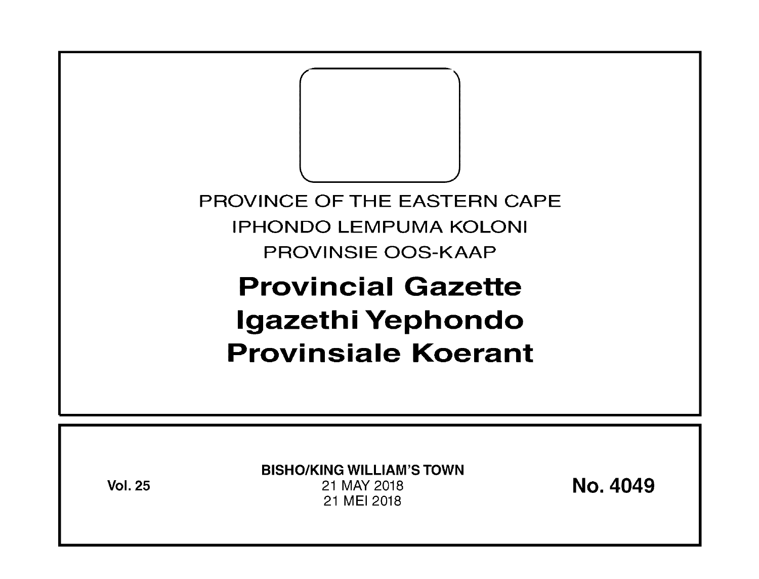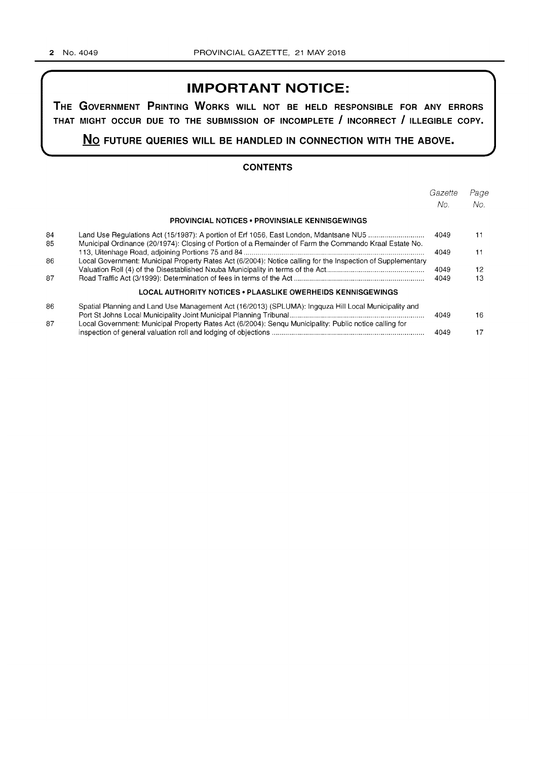# **IMPORTANT NOTICE:**

**THE GOVERNMENT PRINTING WORKS WILL NOT BE HELD RESPONSIBLE FOR ANY ERRORS THAT MIGHT OCCUR DUE TO THE SUBMISSION OF INCOMPLETE I INCORRECT I ILLEGIBLE COPY.** 

**No FUTURE QUERIES WILL BE HANDLED IN CONNECTION WITH THE ABOVE.** 

### **CONTENTS**

|    |                                                                                                             | Gazette<br>No. | Page<br>No. |
|----|-------------------------------------------------------------------------------------------------------------|----------------|-------------|
|    | <b>PROVINCIAL NOTICES • PROVINSIALE KENNISGEWINGS</b>                                                       |                |             |
| 84 | Land Use Regulations Act (15/1987): A portion of Erf 1056, East London, Mdantsane NU5                       | 4049           | 11          |
| 85 | Municipal Ordinance (20/1974): Closing of Portion of a Remainder of Farm the Commando Kraal Estate No.      | 4049           | 11          |
| 86 | Local Government: Municipal Property Rates Act (6/2004): Notice calling for the Inspection of Supplementary |                |             |
|    |                                                                                                             | 4049           | 12          |
| 87 |                                                                                                             | 4049           | 13          |
|    | LOCAL AUTHORITY NOTICES • PLAASLIKE OWERHEIDS KENNISGEWINGS                                                 |                |             |
| 86 | Spatial Planning and Land Use Management Act (16/2013) (SPLUMA): Ingguza Hill Local Municipality and        |                |             |
|    |                                                                                                             | 4049           | 16          |
| 87 | Local Government: Municipal Property Rates Act (6/2004): Sengu Municipality: Public notice calling for      |                |             |
|    |                                                                                                             | 4049           | 17          |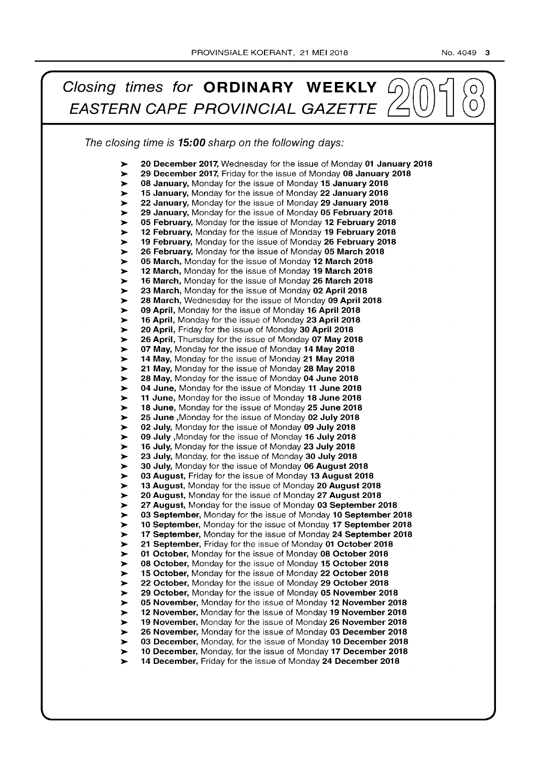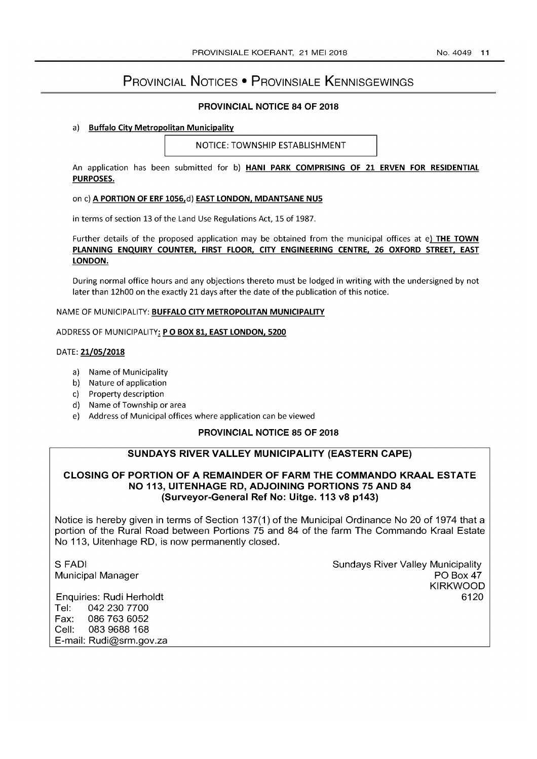# PROVINCIAL NOTICES • PROVINSIALE KENNISGEWINGS

### PROVINCIAL NOTICE 84 OF 2018

#### a) Buffalo City Metropolitan Municipality

NOTICE: TOWNSHIP ESTABLISHMENT

An application has been submitted for b) HANI PARK COMPRISING OF 21 ERVEN FOR RESIDENTIAL PURPOSES.

#### on c) A PORTION OF ERF 1056,d) EAST LONDON, MDANTSANE NU5

in terms of section 13 of the Land Use Regulations Act, 15 of 1987.

Further details of the proposed application may be obtained from the municipal offices at e) THE TOWN PLANNING ENQUIRY COUNTER, FIRST FLOOR, CITY ENGINEERING CENTRE, 26 OXFORD STREET, EAST LONDON.

During normal office hours and any objections thereto must be lodged in writing with the undersigned by not later than 12hOO on the exactly 21 days after the date of the publication of this notice.

#### NAME OF MUNICIPALITY: BUFFALO CITY METROPOLITAN MUNICIPALITY

ADDRESS OF MUNICIPALITY: P O BOX 81, EAST LONDON, 5200

#### DATE: 21/05/2018

- a) Name of Municipality
- b) Nature of application
- c) Property description
- d) Name of Township or area
- e) Address of Municipal offices where application can be viewed

### PROVINCIAL NOTICE 85 OF 2018

### SUNDAYS RIVER VALLEY MUNICIPALITY (EASTERN CAPE)

### CLOSING OF PORTION OF A REMAINDER OF FARM THE COMMANDO KRAAL ESTATE NO 113, UITENHAGE RD, ADJOINING PORTIONS 75 AND 84 (Surveyor-General Ref No: Uitge. 113 v8 p143)

Notice is hereby given in terms of Section 137(1) of the Municipal Ordinance No 20 of 1974 that a portion of the Rural Road between Portions 75 and 84 of the farm The Commando Kraal Estate No 113, Uitenhage RD, is now permanently closed.

S FADI Municipal Manager Sundays River Valley Municipality PO Box 47 KIRKWOOD 6120

Enquiries: Rudi Herholdt Tel: 0422307700 Fax: 0867636052 Cell: 083 9688 168 E-mail: Rudi@srm.gov.za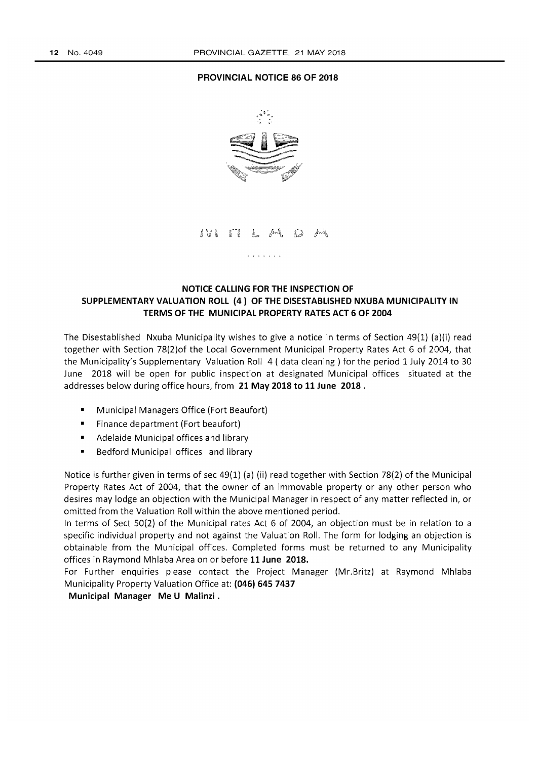#### **PROVINCIAL NOTICE 86 OF 2018**



## **NOTICE CALLING FOR THE INSPECTION OF SUPPLEMENTARY VALUATION ROLL (4) OF THE DISESTABLISHED NXUBA MUNICIPALITY IN TERMS OF THE MUNICIPAL PROPERTY RATES ACT 6 OF 2004**

The Disestablished Nxuba Municipality wishes to give a notice in terms of Section 49(1) (a)(i) read together with Section 78(2)of the Local Government Municipal Property Rates Act 6 of 2004, that the Municipality's Supplementary Valuation Roll 4 ( data cleaning) for the period 1 July 2014 to 30 June 2018 will be open for public inspection at designated Municipal offices situated at the addresses below during office hours, from **21 May 2018 to 11 June 2018.** 

- Municipal Managers Office (Fort Beaufort)
- Finance department (Fort beaufort)
- Adelaide Municipal offices and library
- Bedford Municipal offices and library

Notice is further given in terms of sec 49(1) (a) (ii) read together with Section 78(2) of the Municipal Property Rates Act of 2004, that the owner of an immovable property or any other person who desires may lodge an objection with the Municipal Manager in respect of any matter reflected in, or omitted from the Valuation Roll within the above mentioned period.

In terms of Sect 50(2) of the Municipal rates Act 6 of 2004, an objection must be in relation to a specific individual property and not against the Valuation Roll. The form for lodging an objection is obtainable from the Municipal offices. Completed forms must be returned to any Municipality offices in Raymond Mhlaba Area on or before **11 June 2018.** 

For Further enquiries please contact the Project Manager (Mr.Britz) at Raymond Mhlaba Municipality Property Valuation Office at: **(046) 645 7437** 

### **Municipal Manager Me U Malinzi.**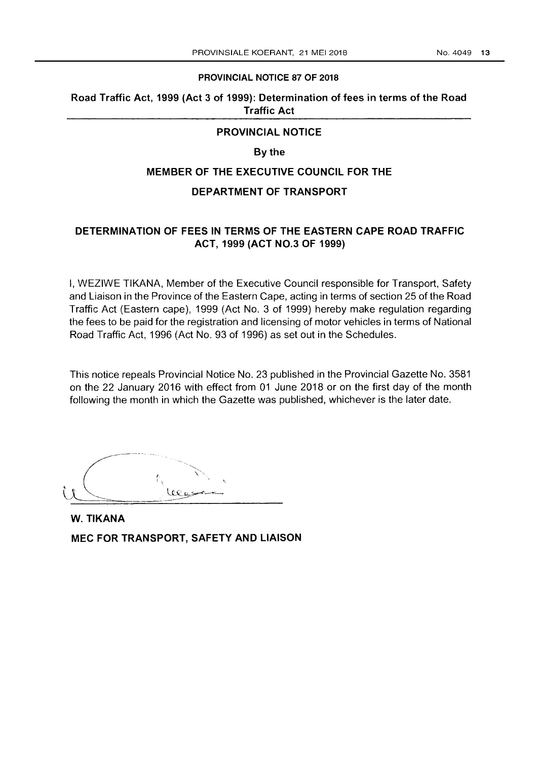#### PROVINCIAL NOTICE 87 OF 2018

# Road Traffic Act, 1999 (Act 3 of 1999): Determination of fees in terms of the Road Traffic Act

### PROVINCIAL NOTICE

# By the

### MEMBER OF THE EXECUTIVE COUNCIL FOR THE

#### DEPARTMENT OF TRANSPORT

# DETERMINATION OF FEES IN TERMS OF THE EASTERN CAPE ROAD TRAFFIC ACT, 1999 (ACT NO.3 OF 1999)

I, WEZIWE TIKANA, Member of the Executive Council responsible for Transport, Safety and Liaison in the Province of the Eastern Cape, acting in terms of section 25 of the Road Traffic Act (Eastern cape), 1999 (Act No. 3 of 1999) hereby make regulation regarding the fees to be paid for the registration and licensing of motor vehicles in terms of National Road Traffic Act, 1996 (Act No. 93 of 1996) as set out in the Schedules.

This notice repeals Provincial Notice No. 23 published in the Provincial Gazette No. 3581 on the 22 January 2016 with effect from 01 June 2018 or on the first day of the month following the month in which the Gazette was published, whichever is the later date.

W. TIKANA MEC FOR TRANSPORT, SAFETY AND LIAISON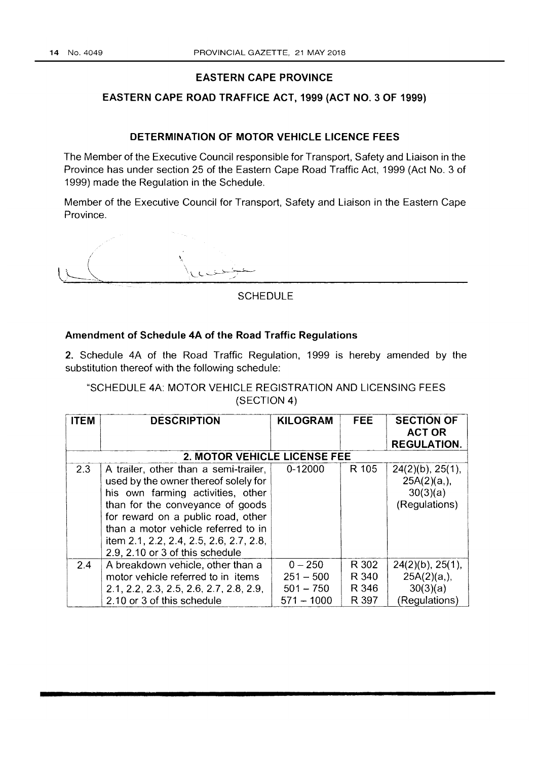### **EASTERN CAPE PROVINCE**

# **EASTERN CAPE ROAD TRAFFICE ACT, 1999 (ACT NO.3 OF 1999)**

## **DETERMINATION OF MOTOR VEHICLE LICENCE FEES**

The Member of the Executive Council responsible for Transport, Safety and Liaison in the Province has under section 25 of the Eastern Cape Road Traffic Act, 1999 (Act No.3 of 1999) made the Regulation in the Schedule.

Member of the Executive Council for Transport, Safety and Liaison in the Eastern Cape Province.

/  $\sqrt{}$ 

**SCHEDULE** 

# **Amendment of Schedule 4A of the Road Traffic Regulations**

2. Schedule 4A of the Road Traffic Regulation, 1999 is hereby amended by the substitution thereof with the following schedule:

"SCHEDULE 4A: MOTOR VEHICLE REGISTRATION AND LICENSING FEES (SECTION 4)

| <b>ITEM</b> | <b>DESCRIPTION</b>                                                                                                                                                                                                                                                                                                | <b>KILOGRAM</b>                                         | <b>FEE</b>                       | <b>SECTION OF</b><br><b>ACT OR</b>                                 |  |  |
|-------------|-------------------------------------------------------------------------------------------------------------------------------------------------------------------------------------------------------------------------------------------------------------------------------------------------------------------|---------------------------------------------------------|----------------------------------|--------------------------------------------------------------------|--|--|
|             |                                                                                                                                                                                                                                                                                                                   |                                                         |                                  | <b>REGULATION.</b>                                                 |  |  |
|             | 2. MOTOR VEHICLE LICENSE FEE                                                                                                                                                                                                                                                                                      |                                                         |                                  |                                                                    |  |  |
| 2.3         | A trailer, other than a semi-trailer,<br>used by the owner thereof solely for<br>his own farming activities, other<br>than for the conveyance of goods<br>for reward on a public road, other<br>than a motor vehicle referred to in<br>item 2.1, 2.2, 2.4, 2.5, 2.6, 2.7, 2.8,<br>2.9, 2.10 or 3 of this schedule | $0 - 12000$                                             | R 105                            | $24(2)(b)$ , $25(1)$ ,<br>25A(2)(a,),<br>30(3)(a)<br>(Regulations) |  |  |
| 2.4         | A breakdown vehicle, other than a<br>motor vehicle referred to in items<br>2.1, 2.2, 2.3, 2.5, 2.6, 2.7, 2.8, 2.9,<br>2.10 or 3 of this schedule                                                                                                                                                                  | $0 - 250$<br>$251 - 500$<br>$501 - 750$<br>$571 - 1000$ | R 302<br>R 340<br>R 346<br>R 397 | $24(2)(b)$ , $25(1)$ ,<br>25A(2)(a,),<br>30(3)(a)<br>(Regulations) |  |  |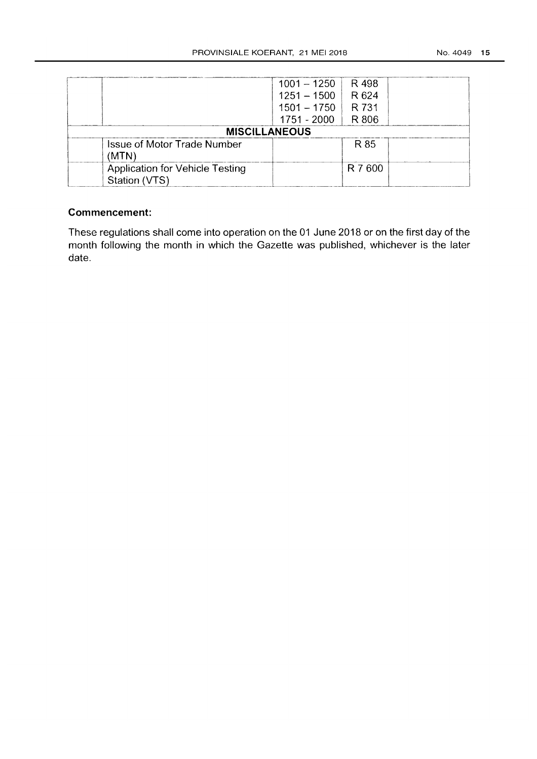|                                                         | $1001 - 1250$ | R 498   |  |
|---------------------------------------------------------|---------------|---------|--|
|                                                         | $1251 - 1500$ | R 624   |  |
|                                                         | $1501 - 1750$ | R 731   |  |
|                                                         | $1751 - 2000$ | R 806   |  |
| <b>MISCILLANEOUS</b>                                    |               |         |  |
| <b>Issue of Motor Trade Number</b><br>(MTN)             |               | R 85    |  |
| <b>Application for Vehicle Testing</b><br>Station (VTS) |               | R 7 600 |  |

# **Commencement:**

These regulations shall come into operation on the 01 June 2018 or on the first day of the month following the month in which the Gazette was published, whichever is the later date.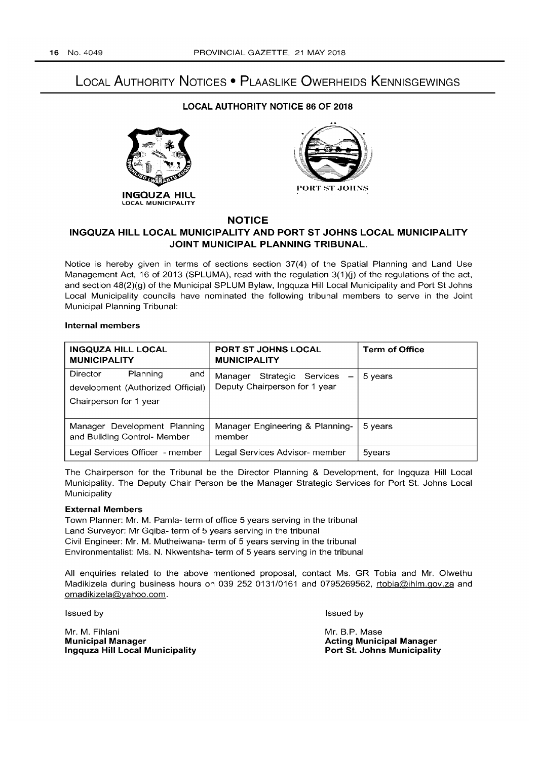# LOCAL AUTHORITY NOTICES • PLAASLIKE OWERHEIDS KENNISGEWINGS

#### LOCAL AUTHORITY NOTICE 86 OF 2018





### NOTICE

### INGQUZA HILL LOCAL MUNICIPALITY AND PORT ST JOHNS LOCAL MUNICIPALITY JOINT MUNICIPAL PLANNING TRIBUNAL.

Notice is hereby given in terms of sections section 37(4) of the Spatial Planning and Land Use Management Act, 16 of 2013 (SPLUMA), read with the regulation  $3(1)(i)$  of the regulations of the act, and section 48(2)(g) of the Municipal SPLUM Bylaw, Ingquza Hill Local Municipality and Port St Johns Local Municipality councils have nominated the following tribunal members to serve in the Joint Municipal Planning Tribunal:

#### Internal members

| <b>INGQUZA HILL LOCAL</b><br><b>MUNICIPALITY</b>                                           | <b>PORT ST JOHNS LOCAL</b><br><b>MUNICIPALITY</b>              | <b>Term of Office</b> |
|--------------------------------------------------------------------------------------------|----------------------------------------------------------------|-----------------------|
| Planning<br>Director<br>and<br>development (Authorized Official)<br>Chairperson for 1 year | Strategic Services<br>Manager<br>Deputy Chairperson for 1 year | 5 years               |
| Manager Development Planning<br>and Building Control- Member                               | Manager Engineering & Planning-<br>member                      | 5 years               |
| Legal Services Officer - member                                                            | Legal Services Advisor- member                                 | 5years                |

The Chairperson for the Tribunal be the Director Planning & Development, for Ingquza Hill Local Municipality. The Deputy Chair Person be the Manager Strategic Services for Port St. Johns Local **Municipality** 

#### External Members

Town Planner: Mr. M. Pamla- term of office 5 years serving in the tribunal Land Surveyor: Mr Gqiba- term of 5 years serving in the tribunal Civil Engineer: Mr. M. Mutheiwana- term of 5 years serving in the tribunal Environmentalist: Ms. N. Nkwentsha- term of 5 years serving in the tribunal

All enquiries related to the above mentioned proposal, contact Ms. GR Tobia and Mr. Olwethu Madikizela during business hours on 039 252 0131/0161 and 0795269562, rtobia@ihlm.gov.za and omadikizela@yahoo.com.

Issued by

Issued by

Mr. M. Fihlani Municipal Manager Ingquza Hill Local Municipality Mr. B.P. Mase Acting Municipal Manager Port St. Johns Municipality